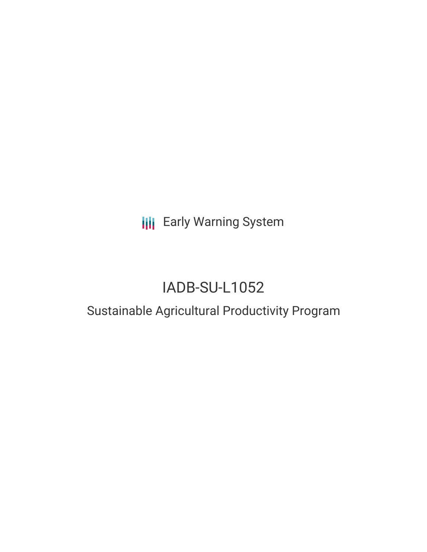**III** Early Warning System

# IADB-SU-L1052

## Sustainable Agricultural Productivity Program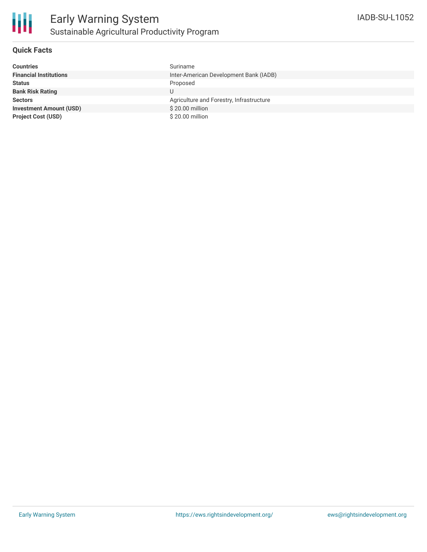

### **Quick Facts**

| <b>Countries</b>               | Suriname                                 |
|--------------------------------|------------------------------------------|
| <b>Financial Institutions</b>  | Inter-American Development Bank (IADB)   |
| <b>Status</b>                  | Proposed                                 |
| <b>Bank Risk Rating</b>        |                                          |
| <b>Sectors</b>                 | Agriculture and Forestry, Infrastructure |
| <b>Investment Amount (USD)</b> | \$20.00 million                          |
| <b>Project Cost (USD)</b>      | \$20.00 million                          |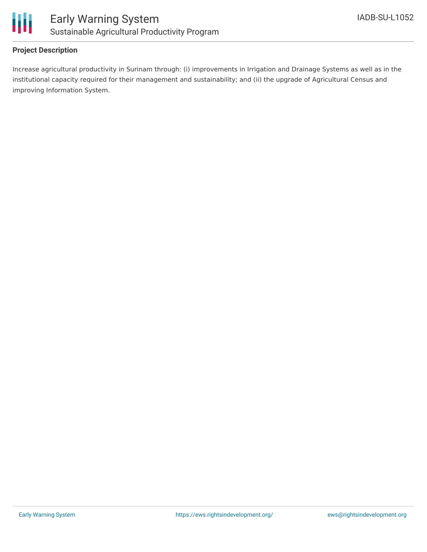

### **Project Description**

Increase agricultural productivity in Surinam through: (i) improvements in Irrigation and Drainage Systems as well as in the institutional capacity required for their management and sustainability; and (ii) the upgrade of Agricultural Census and improving Information System.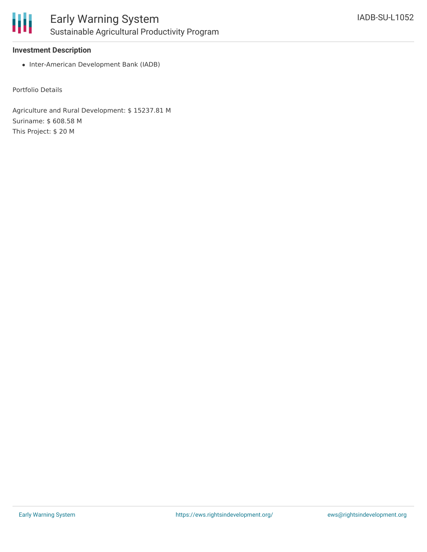

#### **Investment Description**

• Inter-American Development Bank (IADB)

Portfolio Details

Agriculture and Rural Development: \$ 15237.81 M Suriname: \$ 608.58 M This Project: \$ 20 M